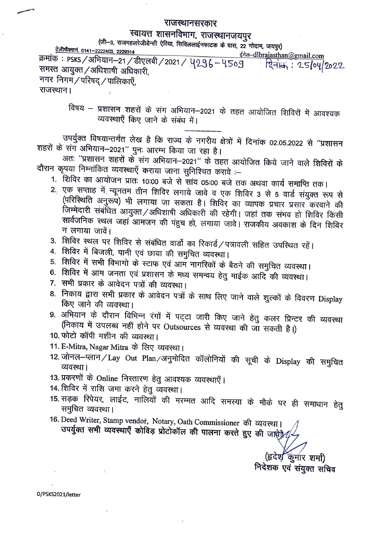## राजस्थानसरकार

## स्वायत्त शासनविभाग, राजस्थानजयपुर

(जी-3, राजमहलरेजीडेन्सी ऐरिया, सिविललाईनफाटक के पास, 22 गोदाम, जयपुर)

<u>टेलीफैक्सनं. 0141–2222403, 2229314</u> ईमेल-dlbrajasthan@gmail.com क्रमांकं : PSKS / अभियान-21 / डीएलबी / 2021 / 4296 - 4509 दिनांक: 25/04/2022 समस्त आयुक्त / अधिशाषी अधिकारी, नगर निगम/परिषद्/पालिकाएँ,

राजस्थान।

विषय – प्रशासन शहरों के संग अभियान–2021 के तहत आयोजित शिविरों में आवश्यक व्यवस्थाएँ किए जाने के संबंध में।

उपर्युक्त विषयान्तर्गत लेख है कि राज्य के नगरीय क्षेत्रों में दिनांक 02.05.2022 से ''प्रशासन शहरों के संग अभियान–2021" पुनः आरम्भ किया जा रहा है।

अतः ''प्रशासन शहरों के संग अभियान–2021'' के तहत आयोजित किये जाने वाले शिविरों के दौरान कृपया निम्नांकित व्यवस्थाएँ कराया जाना सुनिश्चित करावे :--

- 1. शिविर का आयोजन प्रातः 10:00 बजे से सांय 05:00 बजे तक अथवा कार्य समाप्ति तक।
- 2. एक सप्ताह में न्यूनतम तीन शिविर लगाये जावे व एक शिविर 3 से 5 वार्ड संयुक्त रूप से (परिस्थिति अनुरूप) भी लगाया जा सकता है। शिविर का व्यापक प्रचार प्रसार करवाने की जिम्मेदारी संबंधित आयुक्त/अधिशाषी अधिकारी की रहेगी। जहां तक संभव हो शिविर किसी सार्वजनिक स्थल जहां आमजन की पंहुच हो, लगाया जावे। राजकीय अवकाश के दिन शिविर न लगाया जावें।
- 3. शिविर स्थल पर शिविर से संबंधित वार्डो का रिकार्ड/पत्रावली सहित उपस्थित रहें।
- 4. शिविर में बिजली, पानी एवं छाया की समुचित व्यवस्था।
- 5. शिविर में सभी विभागो के स्टाफ एवं आम नागरिकों के बैठने की समुचित व्यवस्था।
- 6. शिविर में आम जनता एवं प्रशासन के मध्य समन्वय हेतु माईक आदि की व्यवस्था।
- 7. सभी प्रकार के आवेदन पत्रों की व्यवस्था।
- 8. निकाय द्वारा सभी प्रकार के आवेदन पत्रों के साथ लिए जाने वाले शुल्कों के विवरण Display किए जाने की व्यवस्था।
- 9. अभियान के दौरान विभिन्न रंगों में पट्टा जारी किए जाने हेतु कलर प्रिन्टर की व्यवस्था (निकाय में उपलब्ध नहीं होने पर Outsources से व्यवस्था की जा सकती है।)
- 10. फोटो कॉपी मशीन की व्यवस्था।
- 11. E-Mitra, Nagar Mitra के लिए व्यवस्था।
- 12. जोनल-प्लान/Lay Out Plan/अनुमोदित कॉलोनियों की सूची के Display की समुचित व्यवस्था।
- 13. प्रकरणों के Online निस्तारण हेतु आवश्यक व्यवस्थाएँ।
- 14. शिविर में राशि जमा करने हेतु व्यवस्था।
- 15. सड़क रिपेयर, लाईट, नालियों की मरम्मत आदि समस्या के मौके पर ही समाधान हेतु समुचित व्यवस्था।
- 16. Deed Writer, Stamp vendor, Notary, Oath Commissioner की व्यवस्था। उपर्युक्त सभी व्यवस्थाएँ कोविड़ प्रोटोकॉल की पालना करते हुए की जाते  $\mathcal{U}$

(हृदेश कुमार शर्मा) निदेशक एवं संयुक्त सचिव

D/PSKS2021/letter